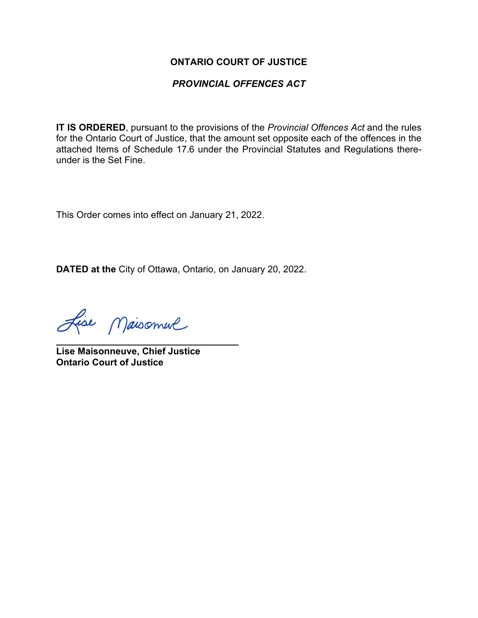## **ONTARIO COURT OF JUSTICE**

## *PROVINCIAL OFFENCES ACT*

**IT IS ORDERED**, pursuant to the provisions of the *Provincial Offences Act* and the rules for the Ontario Court of Justice, that the amount set opposite each of the offences in the attached Items of Schedule 17.6 under the Provincial Statutes and Regulations thereunder is the Set Fine.

This Order comes into effect on January 21, 2022.

**DATED at the** City of Ottawa, Ontario, on January 20, 2022.

Lise Maisonnel

**\_\_\_\_\_\_\_\_\_\_\_\_\_\_\_\_\_\_\_\_\_\_\_\_\_\_\_\_\_\_\_\_\_\_\_ Lise Maisonneuve, Chief Justice Ontario Court of Justice**